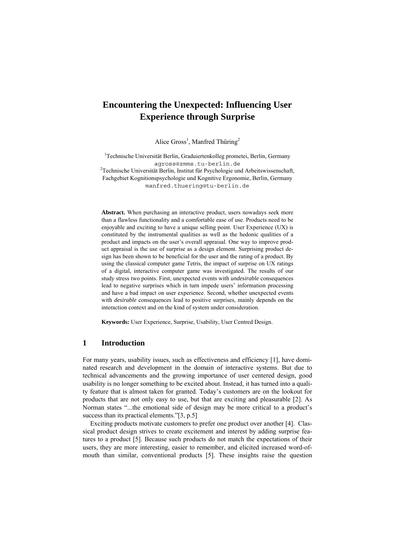# **Encountering the Unexpected: Influencing User Experience through Surprise**

Alice Gross<sup>1</sup>, Manfred Thüring<sup>2</sup>

<sup>1</sup>Technische Universität Berlin, Graduiertenkolleg prometei, Berlin, Germany agross@zmms.tu-berlin.de<br><sup>2</sup>Technische Universität Berlin, Institut für Psychologie und Arbeitswissenschaft, Fachgebiet Kognitionspsychologie und Kognitive Ergonomie, Berlin, Germany manfred.thuering@tu-berlin.de

**Abstract.** When purchasing an interactive product, users nowadays seek more than a flawless functionality and a comfortable ease of use. Products need to be enjoyable and exciting to have a unique selling point. User Experience (UX) is constituted by the instrumental qualities as well as the hedonic qualities of a product and impacts on the user's overall appraisal. One way to improve product appraisal is the use of surprise as a design element. Surprising product design has been shown to be beneficial for the user and the rating of a product. By using the classical computer game Tetris, the impact of surprise on UX ratings of a digital, interactive computer game was investigated. The results of our study stress two points. First, unexpected events with *undesirable* consequences lead to negative surprises which in turn impede users' information processing and have a bad impact on user experience. Second, whether unexpected events with *desirable* consequences lead to positive surprises, mainly depends on the interaction context and on the kind of system under consideration.

**Keywords:** User Experience, Surprise, Usability, User Centred Design.

### **1 Introduction**

For many years, usability issues, such as effectiveness and efficiency [1], have dominated research and development in the domain of interactive systems. But due to technical advancements and the growing importance of user centered design, good usability is no longer something to be excited about. Instead, it has turned into a quality feature that is almost taken for granted. Today's customers are on the lookout for products that are not only easy to use, but that are exciting and pleasurable [2]. As Norman states "...the emotional side of design may be more critical to a product's success than its practical elements."[3, p.5]

Exciting products motivate customers to prefer one product over another [4]. Classical product design strives to create excitement and interest by adding surprise features to a product [5]. Because such products do not match the expectations of their users, they are more interesting, easier to remember, and elicited increased word-ofmouth than similar, conventional products [5]. These insights raise the question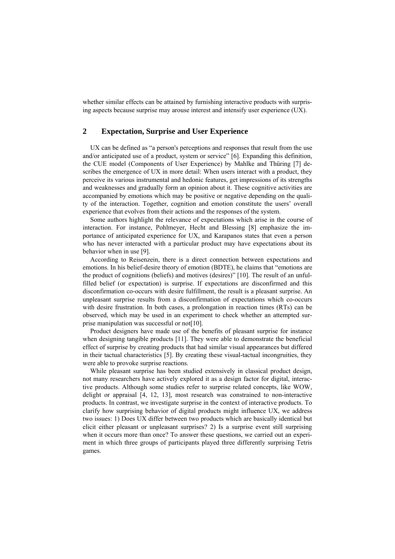whether similar effects can be attained by furnishing interactive products with surprising aspects because surprise may arouse interest and intensify user experience (UX).

# **2 Expectation, Surprise and User Experience**

UX can be defined as "a person's perceptions and responses that result from the use and/or anticipated use of a product, system or service" [6]. Expanding this definition, the CUE model (Components of User Experience) by Mahlke and Thüring [7] describes the emergence of UX in more detail: When users interact with a product, they perceive its various instrumental and hedonic features, get impressions of its strengths and weaknesses and gradually form an opinion about it. These cognitive activities are accompanied by emotions which may be positive or negative depending on the quality of the interaction. Together, cognition and emotion constitute the users' overall experience that evolves from their actions and the responses of the system.

Some authors highlight the relevance of expectations which arise in the course of interaction. For instance, Pohlmeyer, Hecht and Blessing [8] emphasize the importance of anticipated experience for UX, and Karapanos states that even a person who has never interacted with a particular product may have expectations about its behavior when in use [9].

According to Reisenzein, there is a direct connection between expectations and emotions. In his belief-desire theory of emotion (BDTE), he claims that "emotions are the product of cognitions (beliefs) and motives (desires)" [10]. The result of an unfulfilled belief (or expectation) is surprise. If expectations are disconfirmed and this disconfirmation co-occurs with desire fulfillment, the result is a pleasant surprise. An unpleasant surprise results from a disconfirmation of expectations which co-occurs with desire frustration. In both cases, a prolongation in reaction times (RTs) can be observed, which may be used in an experiment to check whether an attempted surprise manipulation was successful or not[10].

Product designers have made use of the benefits of pleasant surprise for instance when designing tangible products [11]. They were able to demonstrate the beneficial effect of surprise by creating products that had similar visual appearances but differed in their tactual characteristics [5]. By creating these visual-tactual incongruities, they were able to provoke surprise reactions.

While pleasant surprise has been studied extensively in classical product design, not many researchers have actively explored it as a design factor for digital, interactive products. Although some studies refer to surprise related concepts, like WOW, delight or appraisal [4, 12, 13], most research was constrained to non-interactive products. In contrast, we investigate surprise in the context of interactive products. To clarify how surprising behavior of digital products might influence UX, we address two issues: 1) Does UX differ between two products which are basically identical but elicit either pleasant or unpleasant surprises? 2) Is a surprise event still surprising when it occurs more than once? To answer these questions, we carried out an experiment in which three groups of participants played three differently surprising Tetris games.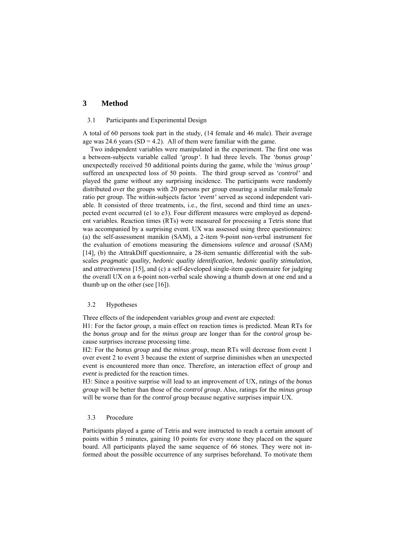# **3 Method**

#### 3.1 Participants and Experimental Design

A total of 60 persons took part in the study, (14 female and 46 male). Their average age was 24.6 years  $(SD = 4.2)$ . All of them were familiar with the game.

Two independent variables were manipulated in the experiment. The first one was a between-subjects variable called *'group'*. It had three levels. The *'bonus group'* unexpectedly received 50 additional points during the game, while the *'minus group'* suffered an unexpected loss of 50 points. The third group served as *'control'* and played the game without any surprising incidence. The participants were randomly distributed over the groups with 20 persons per group ensuring a similar male/female ratio per group. The within-subjects factor *'event'* served as second independent variable. It consisted of three treatments, i.e., the first, second and third time an unexpected event occurred (e1 to e3). Four different measures were employed as dependent variables. Reaction times (RTs) were measured for processing a Tetris stone that was accompanied by a surprising event. UX was assessed using three questionnaires: (a) the self-assessment manikin (SAM), a 2-item 9-point non-verbal instrument for the evaluation of emotions measuring the dimensions *valence* and *arousal* (SAM) [14], (b) the AttrakDiff questionnaire, a 28-item semantic differential with the subscales *pragmatic quality*, *hedonic quality identification*, *hedonic quality stimulation*, and *attractiveness* [15], and (c) a self-developed single-item questionnaire for judging the overall UX on a 6-point non-verbal scale showing a thumb down at one end and a thumb up on the other (see [16]).

#### 3.2 Hypotheses

Three effects of the independent variables *group* and *event* are expected:

H1: For the factor *group*, a main effect on reaction times is predicted. Mean RTs for the *bonus group* and for the *minus group* are longer than for the *control group* because surprises increase processing time.

H2: For the *bonus group* and the *minus group*, mean RTs will decrease from event 1 over event 2 to event 3 because the extent of surprise diminishes when an unexpected event is encountered more than once. Therefore, an interaction effect of *group* and *event* is predicted for the reaction times.

H3: Since a positive surprise will lead to an improvement of UX, ratings of the *bonus group* will be better than those of the *control group*. Also, ratings for the *minus group* will be worse than for the *control group* because negative surprises impair UX.

### 3.3 Procedure

Participants played a game of Tetris and were instructed to reach a certain amount of points within 5 minutes, gaining 10 points for every stone they placed on the square board. All participants played the same sequence of 66 stones. They were not informed about the possible occurrence of any surprises beforehand. To motivate them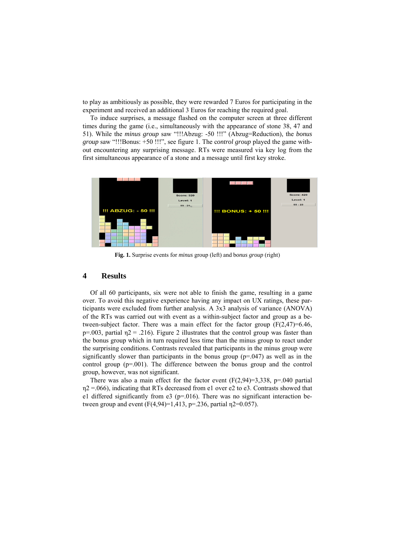to play as ambitiously as possible, they were rewarded 7 Euros for participating in the experiment and received an additional 3 Euros for reaching the required goal.

To induce surprises, a message flashed on the computer screen at three different times during the game (i.e., simultaneously with the appearance of stone 38, 47 and 51). While the *minus group* saw "!!!Abzug: -50 !!!" (Abzug=Reduction), the *bonus group* saw "!!!Bonus: +50 !!!", see figure 1. The c*ontrol group* played the game without encountering any surprising message. RTs were measured via key log from the first simultaneous appearance of a stone and a message until first key stroke.



**Fig. 1.** Surprise events for *minus* group (left) and b*onus group* (right)

### **4 Results**

Of all 60 participants, six were not able to finish the game, resulting in a game over. To avoid this negative experience having any impact on UX ratings, these participants were excluded from further analysis. A 3x3 analysis of variance (ANOVA) of the RTs was carried out with event as a within-subject factor and group as a between-subject factor. There was a main effect for the factor group  $(F(2.47)=6.46)$ . p=.003, partial  $\eta$ 2 = .216). Figure 2 illustrates that the control group was faster than the bonus group which in turn required less time than the minus group to react under the surprising conditions. Contrasts revealed that participants in the minus group were significantly slower than participants in the bonus group  $(p=0.047)$  as well as in the control group (p=.001). The difference between the bonus group and the control group, however, was not significant.

There was also a main effect for the factor event  $(F(2, 94)=3,338, p=.040$  partial  $\eta$ 2 =.066), indicating that RTs decreased from e1 over e2 to e3. Contrasts showed that e1 differed significantly from  $e^3$  ( $p=016$ ). There was no significant interaction between group and event  $(F(4.94)=1.413, p=.236,$  partial  $n2=0.057$ ).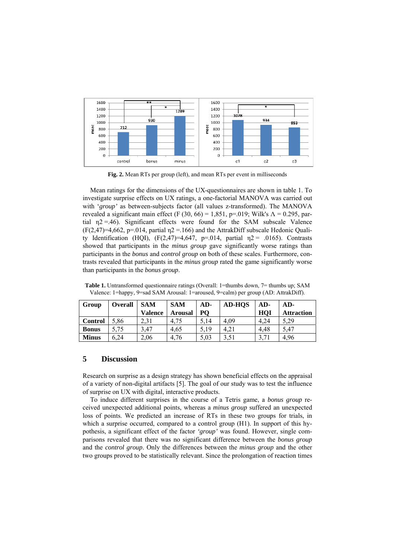

**Fig. 2.** Mean RTs per group (left), and mean RTs per event in milliseconds

Mean ratings for the dimensions of the UX-questionnaires are shown in table 1. To investigate surprise effects on UX ratings, a one-factorial MANOVA was carried out with '*group'* as between-subjects factor (all values z-transformed). The MANOVA revealed a significant main effect (F (30, 66) = 1,851, p=.019; Wilk's  $\Lambda$  = 0.295, partial  $\eta$ 2 = 46). Significant effects were found for the SAM subscale Valence  $(F(2, 47)=4, 662, p=.014,$  partial  $p2=.166$ ) and the AttrakDiff subscale Hedonic Quality Identification (HQI),  $(F(2,47)=4,647, p=0.014, partial$   $n2 = 0.0165)$ . Contrasts showed that participants in the *minus group* gave significantly worse ratings than participants in the *bonus* and c*ontrol group* on both of these scales. Furthermore, contrasts revealed that participants in the *minus group* rated the game significantly worse than participants in the *bonus group*.

| Group          | Overall | <b>SAM</b><br><b>Valence</b> | <b>SAM</b>     | $AD-$<br>P <sub>O</sub> | <b>AD-HOS</b> | $AD-$<br>HOI | $AD-$             |
|----------------|---------|------------------------------|----------------|-------------------------|---------------|--------------|-------------------|
|                |         |                              | <b>Arousal</b> |                         |               |              | <b>Attraction</b> |
| <b>Control</b> | 5.86    | 2.31                         | 4.75           | 5,14                    | 4.09          | 4.24         | 5.29              |
| <b>Bonus</b>   | 5.75    | 3,47                         | 4.65           | 5.19                    | 4.21          | 4.48         | 5,47              |
| <b>Minus</b>   | 6.24    | 2,06                         | 4.76           | 5.03                    | 3.51          | 3.71         | 4,96              |

**Table 1.** Untransformed questionnaire ratings (Overall: 1=thumbs down, 7= thumbs up; SAM Valence: 1=happy, 9=sad SAM Arousal: 1=aroused, 9=calm) per group (AD: AttrakDiff).

# **5 Discussion**

Research on surprise as a design strategy has shown beneficial effects on the appraisal of a variety of non-digital artifacts [5]. The goal of our study was to test the influence of surprise on UX with digital, interactive products.

To induce different surprises in the course of a Tetris game, a *bonus group* received unexpected additional points, whereas a *minus group* suffered an unexpected loss of points. We predicted an increase of RTs in these two groups for trials, in which a surprise occurred, compared to a control group (H1). In support of this hypothesis, a significant effect of the factor *'group'* was found. However, single comparisons revealed that there was no significant difference between the *bonus group* and the *control group*. Only the differences between the *minus group* and the other two groups proved to be statistically relevant. Since the prolongation of reaction times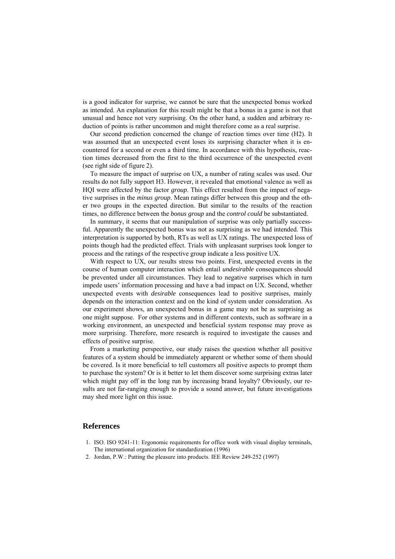is a good indicator for surprise, we cannot be sure that the unexpected bonus worked as intended. An explanation for this result might be that a bonus in a game is not that unusual and hence not very surprising. On the other hand, a sudden and arbitrary reduction of points is rather uncommon and might therefore come as a real surprise.

Our second prediction concerned the change of reaction times over time (H2). It was assumed that an unexpected event loses its surprising character when it is encountered for a second or even a third time. In accordance with this hypothesis, reaction times decreased from the first to the third occurrence of the unexpected event (see right side of figure 2).

To measure the impact of surprise on UX, a number of rating scales was used. Our results do not fully support H3. However, it revealed that emotional valence as well as HQI were affected by the factor *group*. This effect resulted from the impact of negative surprises in the *minus group*. Mean ratings differ between this group and the other two groups in the expected direction. But similar to the results of the reaction times, no difference between the *bonus group* and the *control could* be substantiated.

In summary, it seems that our manipulation of surprise was only partially successful. Apparently the unexpected bonus was not as surprising as we had intended. This interpretation is supported by both, RTs as well as UX ratings. The unexpected loss of points though had the predicted effect. Trials with unpleasant surprises took longer to process and the ratings of the respective group indicate a less positive UX.

With respect to UX, our results stress two points. First, unexpected events in the course of human computer interaction which entail *undesirable* consequences should be prevented under all circumstances. They lead to negative surprises which in turn impede users' information processing and have a bad impact on UX. Second, whether unexpected events with *desirable* consequences lead to positive surprises, mainly depends on the interaction context and on the kind of system under consideration. As our experiment shows, an unexpected bonus in a game may not be as surprising as one might suppose. For other systems and in different contexts, such as software in a working environment, an unexpected and beneficial system response may prove as more surprising. Therefore, more research is required to investigate the causes and effects of positive surprise.

From a marketing perspective, our study raises the question whether all positive features of a system should be immediately apparent or whether some of them should be covered. Is it more beneficial to tell customers all positive aspects to prompt them to purchase the system? Or is it better to let them discover some surprising extras later which might pay off in the long run by increasing brand loyalty? Obviously, our results are not far-ranging enough to provide a sound answer, but future investigations may shed more light on this issue.

### **References**

- 1. ISO. ISO 9241-11: Ergonomic requirements for office work with visual display terminals, The international organization for standardization (1996)
- 2. Jordan, P.W.: Putting the pleasure into products. IEE Review 249-252 (1997)